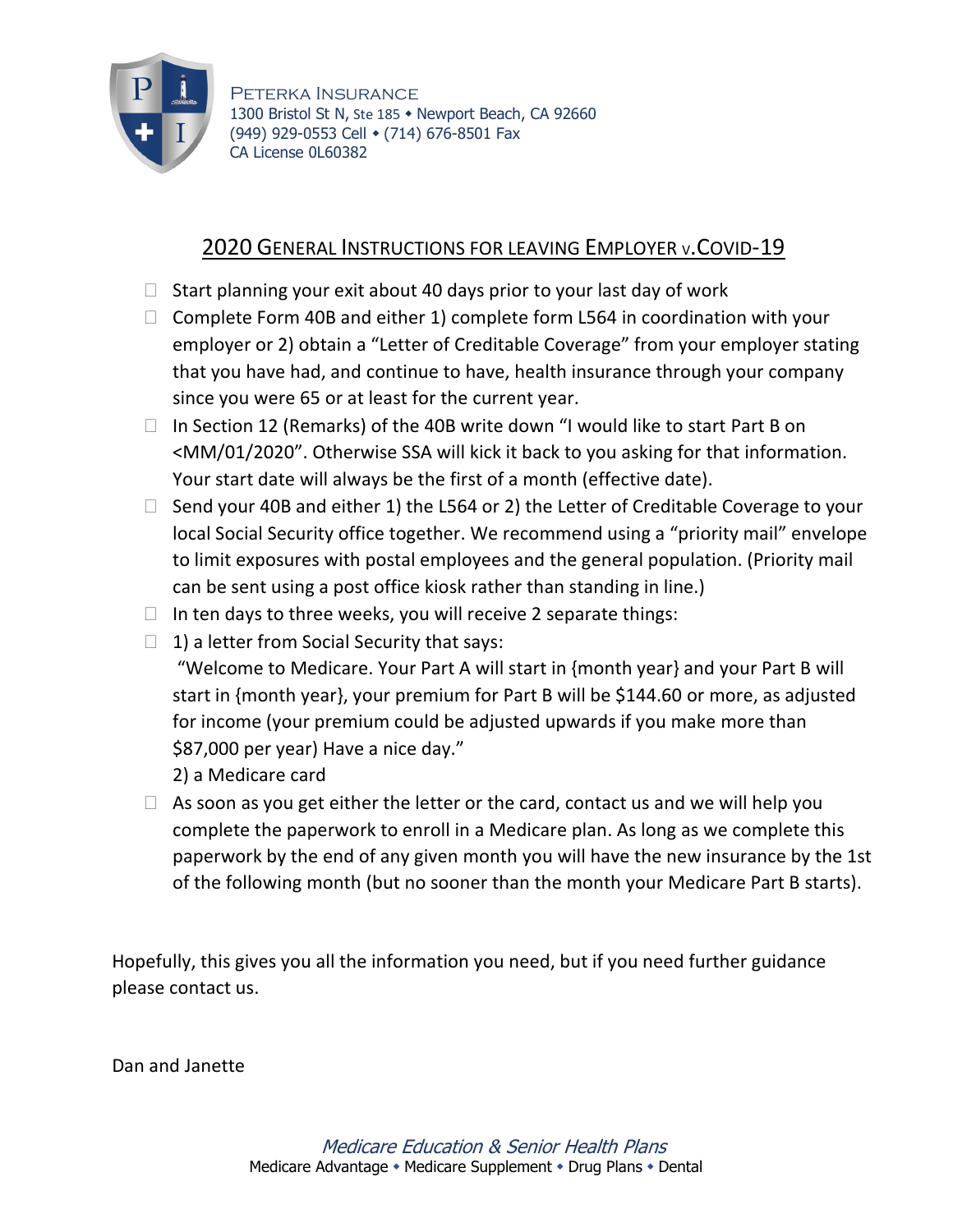

Peterka Insurance 1300 Bristol St N, Ste 185 • Newport Beach, CA 92660 (949) 929-0553 Cell • (714) 676-8501 Fax CA License 0L60382

## 2020 GENERAL INSTRUCTIONS FOR LEAVING EMPLOYER V.COVID-19

- $\Box$  Start planning your exit about 40 days prior to your last day of work
- $\Box$  Complete Form 40B and either 1) complete form L564 in coordination with your employer or 2) obtain a "Letter of Creditable Coverage" from your employer stating that you have had, and continue to have, health insurance through your company since you were 65 or at least for the current year.
- $\Box$  In Section 12 (Remarks) of the 40B write down "I would like to start Part B on <MM/01/2020". Otherwise SSA will kick it back to you asking for that information. Your start date will always be the first of a month (effective date).
- $\Box$  Send your 40B and either 1) the L564 or 2) the Letter of Creditable Coverage to your local Social Security office together. We recommend using a "priority mail" envelope to limit exposures with postal employees and the general population. (Priority mail can be sent using a post office kiosk rather than standing in line.)
- $\Box$  In ten days to three weeks, you will receive 2 separate things:
- $\Box$  1) a letter from Social Security that says:
	- "Welcome to Medicare. Your Part A will start in {month year} and your Part B will start in {month year}, your premium for Part B will be \$144.60 or more, as adjusted for income (your premium could be adjusted upwards if you make more than \$87,000 per year) Have a nice day."

2) a Medicare card

 $\Box$  As soon as you get either the letter or the card, contact us and we will help you complete the paperwork to enroll in a Medicare plan. As long as we complete this paperwork by the end of any given month you will have the new insurance by the 1st of the following month (but no sooner than the month your Medicare Part B starts).

Hopefully, this gives you all the information you need, but if you need further guidance please contact us.

Dan and Janette